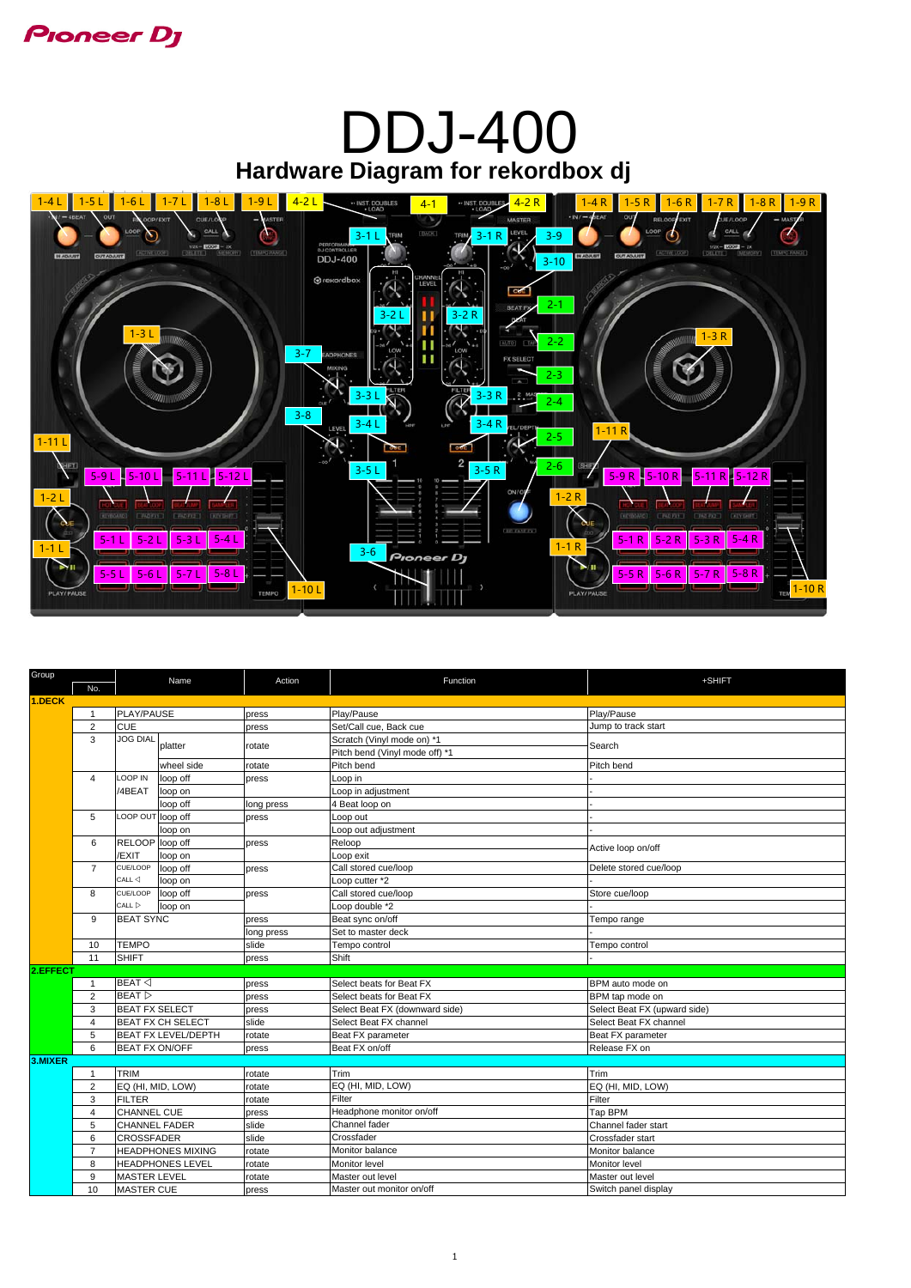

# **Hardware Diagram for rekordbox dj** DDJ-400



| Group    | Name                                                                                                                                      |                                                | Action                  | Function                       | +SHIFT                         |                        |  |
|----------|-------------------------------------------------------------------------------------------------------------------------------------------|------------------------------------------------|-------------------------|--------------------------------|--------------------------------|------------------------|--|
|          | No.                                                                                                                                       |                                                |                         |                                |                                |                        |  |
| 1.DECK   | PLAY/PAUSE                                                                                                                                |                                                |                         |                                |                                |                        |  |
|          | -1                                                                                                                                        |                                                |                         | press                          | Play/Pause                     | Play/Pause             |  |
|          | 2                                                                                                                                         | <b>CUE</b>                                     |                         | press                          | Set/Call cue, Back cue         | Jump to track start    |  |
|          | <b>JOG DIAL</b><br>3<br>platter                                                                                                           |                                                | rotate                  | Scratch (Vinyl mode on) *1     | Search                         |                        |  |
|          |                                                                                                                                           |                                                |                         |                                | Pitch bend (Vinyl mode off) *1 |                        |  |
|          |                                                                                                                                           |                                                | wheel side              | rotate                         | Pitch bend                     | Pitch bend             |  |
|          | $\overline{4}$                                                                                                                            | LOOP IN                                        | loop off                | press                          | Loop in                        |                        |  |
|          |                                                                                                                                           | /4BEAT                                         | loop on                 |                                | Loop in adjustment             |                        |  |
|          |                                                                                                                                           |                                                | loop off                | long press                     | 4 Beat loop on                 |                        |  |
|          | 5                                                                                                                                         | LOOP OUT loop off                              |                         | press                          | Loop out                       |                        |  |
|          |                                                                                                                                           |                                                | loop on                 |                                | Loop out adjustment            |                        |  |
|          | 6                                                                                                                                         | RELOOP loop off                                |                         | press                          | Reloop                         | Active loop on/off     |  |
|          |                                                                                                                                           | /EXIT                                          | loop on                 |                                | Loop exit                      |                        |  |
|          | $\overline{7}$                                                                                                                            | CUE/LOOP                                       | loop off                | press                          | Call stored cue/loop           | Delete stored cue/loop |  |
|          |                                                                                                                                           | $CALL \triangleleft$                           | loop on                 |                                | Loop cutter *2                 |                        |  |
|          | 8                                                                                                                                         | CUE/LOOP                                       | loop off                | press                          | Call stored cue/loop           | Store cue/loop         |  |
|          |                                                                                                                                           | $CALL \triangleright$                          | loop on                 |                                | Loop double *2                 |                        |  |
|          | 9                                                                                                                                         | <b>BEAT SYNC</b>                               |                         | press                          | Beat sync on/off               | Tempo range            |  |
|          |                                                                                                                                           |                                                |                         | long press                     | Set to master deck             |                        |  |
|          | 10                                                                                                                                        | <b>TEMPO</b>                                   |                         | slide                          | Tempo control                  | Tempo control          |  |
|          | <b>SHIFT</b><br>11                                                                                                                        |                                                | press                   | Shift                          |                                |                        |  |
| 2.EFFECT |                                                                                                                                           |                                                |                         |                                |                                |                        |  |
|          | $\mathbf{1}$                                                                                                                              | $BEAT \triangleleft$<br>BEAT<br>$\overline{2}$ |                         | press                          | Select beats for Beat FX       | BPM auto mode on       |  |
|          |                                                                                                                                           |                                                |                         | press                          | Select beats for Beat FX       | BPM tap mode on        |  |
|          | 3<br><b>BEAT FX SELECT</b><br><b>BEAT FX CH SELECT</b><br>$\overline{4}$<br><b>BEAT FX LEVEL/DEPTH</b><br>5<br><b>BEAT FX ON/OFF</b><br>6 |                                                | press                   | Select Beat FX (downward side) | Select Beat FX (upward side)   |                        |  |
|          |                                                                                                                                           |                                                | slide                   | Select Beat FX channel         | Select Beat FX channel         |                        |  |
|          |                                                                                                                                           |                                                | rotate                  | Beat FX parameter              | Beat FX parameter              |                        |  |
|          |                                                                                                                                           |                                                | press                   | Beat FX on/off                 | Release FX on                  |                        |  |
| 3.MIXER  |                                                                                                                                           |                                                |                         |                                |                                |                        |  |
|          | 1                                                                                                                                         | <b>TRIM</b>                                    |                         | rotate                         | Trim                           | Trim                   |  |
|          | 2                                                                                                                                         | EQ (HI, MID, LOW)                              |                         | rotate                         | EQ (HI, MID, LOW)              | EQ (HI, MID, LOW)      |  |
|          | 3                                                                                                                                         | <b>FILTER</b>                                  |                         | rotate                         | Filter                         | Filter                 |  |
|          | 4                                                                                                                                         | <b>CHANNEL CUE</b>                             |                         | press                          | Headphone monitor on/off       | Tap BPM                |  |
|          | 5                                                                                                                                         | <b>CHANNEL FADER</b>                           |                         | slide                          | Channel fader                  | Channel fader start    |  |
|          | 6                                                                                                                                         | <b>CROSSFADER</b>                              |                         | slide                          | Crossfader                     | Crossfader start       |  |
|          | $\overline{7}$                                                                                                                            | <b>HEADPHONES MIXING</b>                       |                         | rotate                         | Monitor balance                | Monitor balance        |  |
|          | 8                                                                                                                                         |                                                | <b>HEADPHONES LEVEL</b> | rotate                         | Monitor level                  | Monitor level          |  |
|          | 9                                                                                                                                         | <b>MASTER LEVEL</b>                            |                         | rotate                         | Master out level               | Master out level       |  |
|          | 10                                                                                                                                        | <b>MASTER CUE</b>                              |                         | press                          | Master out monitor on/off      | Switch panel display   |  |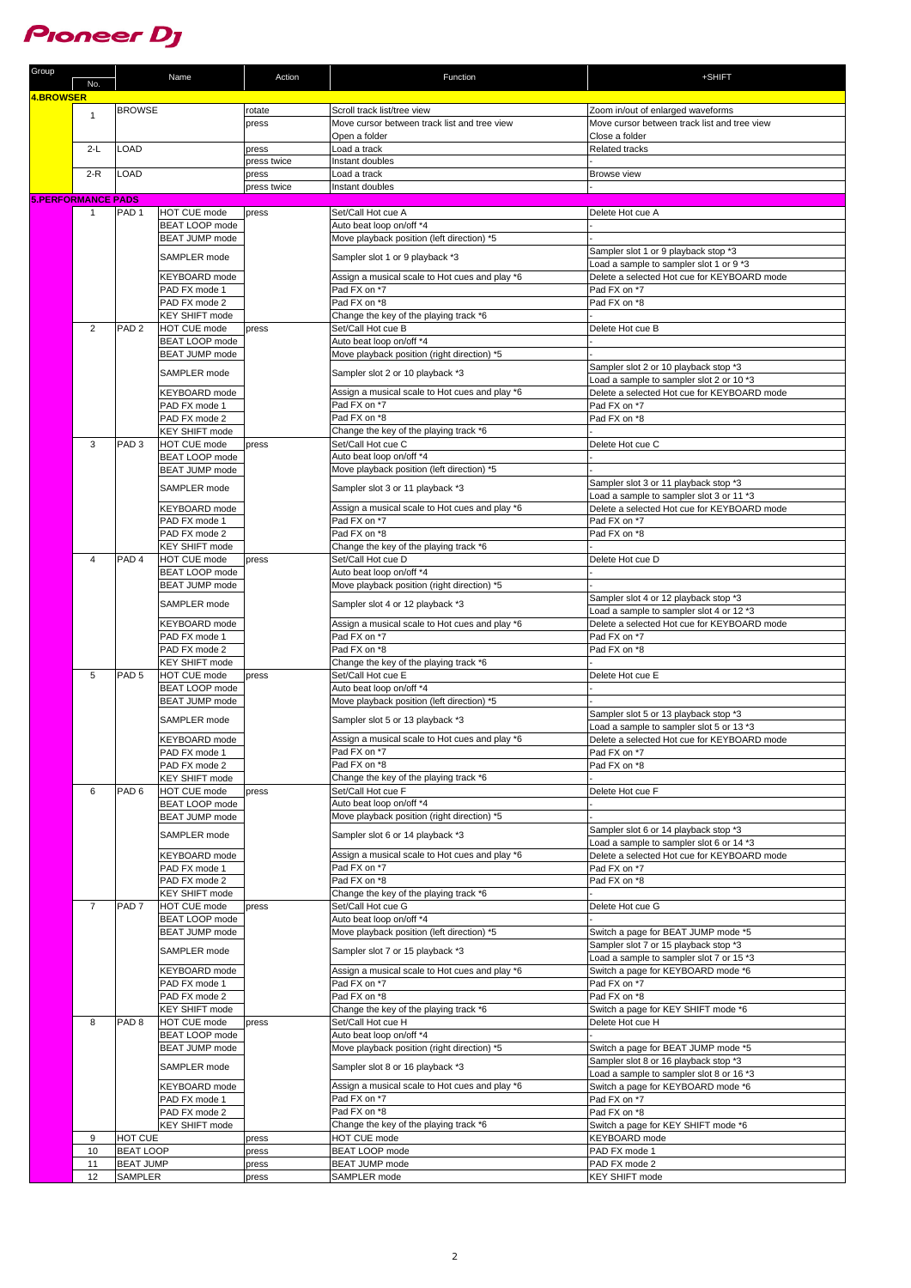

| Group                     | No.            |                             | Name                                         | Action               | Function                                                       | +SHIFT                                                                            |
|---------------------------|----------------|-----------------------------|----------------------------------------------|----------------------|----------------------------------------------------------------|-----------------------------------------------------------------------------------|
| <b>4.BROWSER</b>          |                |                             |                                              |                      |                                                                |                                                                                   |
|                           | $\mathbf{1}$   | <b>BROWSE</b>               |                                              | rotate               | Scroll track list/tree view                                    | Zoom in/out of enlarged waveforms                                                 |
|                           |                |                             |                                              | press                | Move cursor between track list and tree view                   | Move cursor between track list and tree view                                      |
|                           |                |                             |                                              |                      | Open a folder                                                  | Close a folder                                                                    |
|                           | $2-L$          | LOAD                        |                                              | press<br>press twice | Load a track<br>Instant doubles                                | Related tracks                                                                    |
|                           | $2-R$          | LOAD                        |                                              | press                | Load a track                                                   | <b>Browse</b> view                                                                |
|                           |                |                             |                                              | press twice          | Instant doubles                                                |                                                                                   |
| <b>5.PERFORMANCE PADS</b> |                |                             |                                              |                      |                                                                |                                                                                   |
|                           | $\mathbf{1}$   | PAD <sub>1</sub>            | <b>HOT CUE mode</b>                          | press                | Set/Call Hot cue A                                             | Delete Hot cue A                                                                  |
|                           |                |                             | <b>BEAT LOOP mode</b>                        |                      | Auto beat loop on/off *4                                       |                                                                                   |
|                           |                |                             | <b>BEAT JUMP mode</b>                        |                      | Move playback position (left direction) *5                     | Sampler slot 1 or 9 playback stop *3                                              |
|                           |                |                             | SAMPLER mode                                 |                      | Sampler slot 1 or 9 playback *3                                | Load a sample to sampler slot 1 or 9 *3                                           |
|                           |                |                             | <b>KEYBOARD</b> mode                         |                      | Assign a musical scale to Hot cues and play *6                 | Delete a selected Hot cue for KEYBOARD mode                                       |
|                           |                |                             | PAD FX mode 1                                |                      | Pad FX on *7                                                   | Pad FX on *7                                                                      |
|                           |                |                             | PAD FX mode 2                                |                      | Pad FX on *8                                                   | Pad FX on *8                                                                      |
|                           |                |                             | <b>KEY SHIFT mode</b>                        |                      | Change the key of the playing track *6                         |                                                                                   |
|                           | 2              | PAD <sub>2</sub>            | <b>HOT CUE mode</b><br><b>BEAT LOOP mode</b> | press                | Set/Call Hot cue B<br>Auto beat loop on/off *4                 | Delete Hot cue B                                                                  |
|                           |                |                             | <b>BEAT JUMP mode</b>                        |                      | Move playback position (right direction) *5                    |                                                                                   |
|                           |                |                             |                                              |                      |                                                                | Sampler slot 2 or 10 playback stop *3                                             |
|                           |                |                             | SAMPLER mode                                 |                      | Sampler slot 2 or 10 playback *3                               | Load a sample to sampler slot 2 or 10 *3                                          |
|                           |                |                             | KEYBOARD mode                                |                      | Assign a musical scale to Hot cues and play *6                 | Delete a selected Hot cue for KEYBOARD mode                                       |
|                           |                |                             | PAD FX mode 1                                |                      | Pad FX on *7                                                   | Pad FX on *7                                                                      |
|                           |                |                             | PAD FX mode 2<br><b>KEY SHIFT mode</b>       |                      | Pad FX on *8<br>Change the key of the playing track *6         | Pad FX on *8                                                                      |
|                           | 3              | PAD <sub>3</sub>            | <b>HOT CUE mode</b>                          | press                | Set/Call Hot cue C                                             | Delete Hot cue C                                                                  |
|                           |                |                             | <b>BEAT LOOP mode</b>                        |                      | Auto beat loop on/off *4                                       |                                                                                   |
|                           |                |                             | BEAT JUMP mode                               |                      | Move playback position (left direction) *5                     |                                                                                   |
|                           |                |                             | SAMPLER mode                                 |                      | Sampler slot 3 or 11 playback *3                               | Sampler slot 3 or 11 playback stop *3                                             |
|                           |                |                             |                                              |                      |                                                                | Load a sample to sampler slot 3 or 11 *3                                          |
|                           |                |                             | <b>KEYBOARD</b> mode<br>PAD FX mode 1        |                      | Assign a musical scale to Hot cues and play *6<br>Pad FX on *7 | Delete a selected Hot cue for KEYBOARD mode<br>Pad FX on *7                       |
|                           |                |                             | PAD FX mode 2                                |                      | Pad FX on *8                                                   | Pad FX on *8                                                                      |
|                           |                |                             | <b>KEY SHIFT mode</b>                        |                      | Change the key of the playing track *6                         |                                                                                   |
|                           | 4              | PAD <sub>4</sub>            | <b>HOT CUE mode</b>                          | press                | Set/Call Hot cue D                                             | Delete Hot cue D                                                                  |
|                           |                |                             | <b>BEAT LOOP mode</b>                        |                      | Auto beat loop on/off *4                                       |                                                                                   |
|                           |                |                             | <b>BEAT JUMP mode</b>                        |                      | Move playback position (right direction) *5                    |                                                                                   |
|                           |                |                             | SAMPLER mode                                 |                      | Sampler slot 4 or 12 playback *3                               | Sampler slot 4 or 12 playback stop *3<br>Load a sample to sampler slot 4 or 12 *3 |
|                           |                |                             | <b>KEYBOARD</b> mode                         |                      | Assign a musical scale to Hot cues and play *6                 | Delete a selected Hot cue for KEYBOARD mode                                       |
|                           |                |                             | PAD FX mode 1                                |                      | Pad FX on *7                                                   | Pad FX on *7                                                                      |
|                           |                |                             | PAD FX mode 2                                |                      | Pad FX on *8                                                   | Pad FX on *8                                                                      |
|                           |                |                             | <b>KEY SHIFT mode</b>                        |                      | Change the key of the playing track *6                         |                                                                                   |
|                           | 5              | PAD <sub>5</sub>            | <b>HOT CUE mode</b><br><b>BEAT LOOP mode</b> | press                | Set/Call Hot cue E<br>Auto beat loop on/off *4                 | Delete Hot cue E                                                                  |
|                           |                |                             | <b>BEAT JUMP mode</b>                        |                      | Move playback position (left direction) *5                     |                                                                                   |
|                           |                |                             | SAMPLER mode                                 |                      | Sampler slot 5 or 13 playback *3                               | Sampler slot 5 or 13 playback stop *3                                             |
|                           |                |                             |                                              |                      |                                                                | Load a sample to sampler slot 5 or 13 *3                                          |
|                           |                |                             | KEYBOARD mode                                |                      | Assign a musical scale to Hot cues and play *6                 | Delete a selected Hot cue for KEYBOARD mode<br>Pad FX on *7                       |
|                           |                |                             | PAD FX mode 1<br>PAD FX mode 2               |                      | Pad FX on *7<br>Pad FX on *8                                   | Pad FX on *8                                                                      |
|                           |                |                             | <b>KEY SHIFT mode</b>                        |                      | Change the key of the playing track *6                         |                                                                                   |
|                           | 6              | PAD <sub>6</sub>            | <b>HOT CUE mode</b>                          | press                | Set/Call Hot cue F                                             | Delete Hot cue F                                                                  |
|                           |                |                             | BEAT LOOP mode                               |                      | Auto beat loop on/off *4                                       |                                                                                   |
|                           |                |                             | <b>BEAT JUMP mode</b>                        |                      | Move playback position (right direction) *5                    |                                                                                   |
|                           |                |                             | SAMPLER mode                                 |                      | Sampler slot 6 or 14 playback *3                               | Sampler slot 6 or 14 playback stop *3<br>Load a sample to sampler slot 6 or 14 *3 |
|                           |                |                             | <b>KEYBOARD</b> mode                         |                      | Assign a musical scale to Hot cues and play *6                 | Delete a selected Hot cue for KEYBOARD mode                                       |
|                           |                |                             | PAD FX mode 1                                |                      | Pad FX on *7                                                   | Pad FX on *7                                                                      |
|                           |                |                             | PAD FX mode 2                                |                      | Pad FX on *8                                                   | Pad FX on *8                                                                      |
|                           |                |                             | <b>KEY SHIFT mode</b>                        |                      | Change the key of the playing track *6                         |                                                                                   |
|                           | $\overline{7}$ | PAD <sub>7</sub>            | <b>HOT CUE mode</b><br><b>BEAT LOOP mode</b> | press                | Set/Call Hot cue G<br>Auto beat loop on/off *4                 | Delete Hot cue G                                                                  |
|                           |                |                             | BEAT JUMP mode                               |                      | Move playback position (left direction) *5                     | Switch a page for BEAT JUMP mode *5                                               |
|                           |                |                             |                                              |                      |                                                                | Sampler slot 7 or 15 playback stop *3                                             |
|                           |                |                             | SAMPLER mode                                 |                      | Sampler slot 7 or 15 playback *3                               | Load a sample to sampler slot 7 or 15 *3                                          |
|                           |                |                             | <b>KEYBOARD</b> mode                         |                      | Assign a musical scale to Hot cues and play *6                 | Switch a page for KEYBOARD mode *6                                                |
|                           |                |                             | PAD FX mode 1                                |                      | Pad FX on *7                                                   | Pad FX on *7                                                                      |
|                           |                |                             | PAD FX mode 2<br><b>KEY SHIFT mode</b>       |                      | Pad FX on *8<br>Change the key of the playing track *6         | Pad FX on *8<br>Switch a page for KEY SHIFT mode *6                               |
|                           | 8              | PAD <sub>8</sub>            | <b>HOT CUE mode</b>                          | press                | Set/Call Hot cue H                                             | Delete Hot cue H                                                                  |
|                           |                |                             | BEAT LOOP mode                               |                      | Auto beat loop on/off *4                                       |                                                                                   |
|                           |                |                             | BEAT JUMP mode                               |                      | Move playback position (right direction) *5                    | Switch a page for BEAT JUMP mode *5                                               |
|                           |                |                             | SAMPLER mode                                 |                      | Sampler slot 8 or 16 playback *3                               | Sampler slot 8 or 16 playback stop *3                                             |
|                           |                |                             |                                              |                      |                                                                | Load a sample to sampler slot 8 or 16 *3                                          |
|                           |                |                             | KEYBOARD mode<br>PAD FX mode 1               |                      | Assign a musical scale to Hot cues and play *6<br>Pad FX on *7 | Switch a page for KEYBOARD mode *6<br>Pad FX on *7                                |
|                           |                |                             | PAD FX mode 2                                |                      | Pad FX on *8                                                   | Pad FX on *8                                                                      |
|                           |                |                             | <b>KEY SHIFT mode</b>                        |                      | Change the key of the playing track *6                         | Switch a page for KEY SHIFT mode *6                                               |
|                           | 9              | HOT CUE                     |                                              | press                | HOT CUE mode                                                   | KEYBOARD mode                                                                     |
|                           | 10             | <b>BEAT LOOP</b>            |                                              | press                | BEAT LOOP mode                                                 | PAD FX mode 1                                                                     |
|                           | 11<br>12       | <b>BEAT JUMP</b><br>SAMPLER |                                              | press<br>press       | BEAT JUMP mode<br>SAMPLER mode                                 | PAD FX mode 2<br><b>KEY SHIFT mode</b>                                            |
|                           |                |                             |                                              |                      |                                                                |                                                                                   |